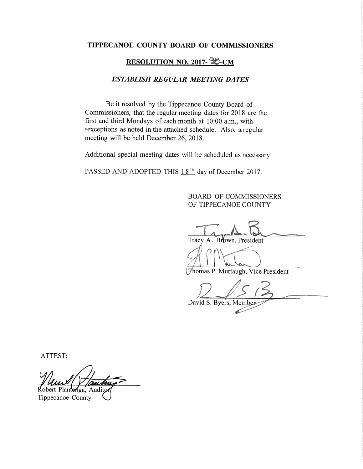#### TIPPECANOE COUNTY BOARD OF COMMISSIONERS

## RESOLUTION NO. 2017-38-CM

#### **ESTABLISH REGULAR MEETING DATES**

Be it resolved by the Tippecanoe County Board of Commissioners, that the regular meeting dates for 2018 are the first and third Mondays of each month at 10:00 a.m., with \*exceptions as noted in the attached schedule. Also, a regular meeting will be held December 26, 2018.

Additional special meeting dates will be scheduled as necessary.

PASSED AND ADOPTED THIS 18<sup>th</sup> day of December 2017.

### **BOARD OF COMMISSIONERS** OF TIPPECANOE COUNTY

Tracy A. Brown, President

Thomas P. Murtaugh, Vice President

David S. Byers, Member

ATTEST:

Robert Plantenga, Auditor

Tippecanoe County